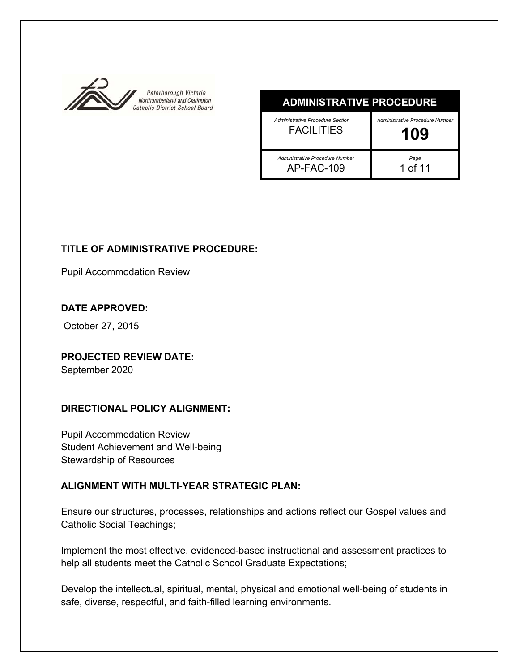

| <b>ADMINISTRATIVE PROCEDURE</b>                       |                                        |
|-------------------------------------------------------|----------------------------------------|
| Administrative Procedure Section<br><b>FACILITIES</b> | Administrative Procedure Number<br>109 |
| Administrative Procedure Number<br>AP-FAC-109         | $^{Page}$ 1 of 11                      |

# **TITLE OF ADMINISTRATIVE PROCEDURE:**

Pupil Accommodation Review

# **DATE APPROVED:**

October 27, 2015

**PROJECTED REVIEW DATE:**  September 2020

# **DIRECTIONAL POLICY ALIGNMENT:**

Pupil Accommodation Review Student Achievement and Well-being Stewardship of Resources

# **ALIGNMENT WITH MULTI-YEAR STRATEGIC PLAN:**

Ensure our structures, processes, relationships and actions reflect our Gospel values and Catholic Social Teachings;

Implement the most effective, evidenced-based instructional and assessment practices to help all students meet the Catholic School Graduate Expectations;

Develop the intellectual, spiritual, mental, physical and emotional well-being of students in safe, diverse, respectful, and faith-filled learning environments.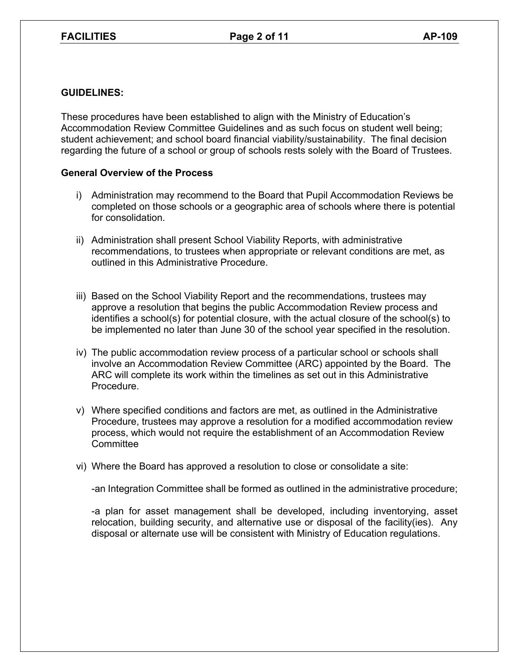## **GUIDELINES:**

These procedures have been established to align with the Ministry of Education's Accommodation Review Committee Guidelines and as such focus on student well being; student achievement; and school board financial viability/sustainability. The final decision regarding the future of a school or group of schools rests solely with the Board of Trustees.

## **General Overview of the Process**

- i) Administration may recommend to the Board that Pupil Accommodation Reviews be completed on those schools or a geographic area of schools where there is potential for consolidation.
- ii) Administration shall present School Viability Reports, with administrative recommendations, to trustees when appropriate or relevant conditions are met, as outlined in this Administrative Procedure.
- iii) Based on the School Viability Report and the recommendations, trustees may approve a resolution that begins the public Accommodation Review process and identifies a school(s) for potential closure, with the actual closure of the school(s) to be implemented no later than June 30 of the school year specified in the resolution.
- iv) The public accommodation review process of a particular school or schools shall involve an Accommodation Review Committee (ARC) appointed by the Board. The ARC will complete its work within the timelines as set out in this Administrative Procedure.
- v) Where specified conditions and factors are met, as outlined in the Administrative Procedure, trustees may approve a resolution for a modified accommodation review process, which would not require the establishment of an Accommodation Review **Committee**
- vi) Where the Board has approved a resolution to close or consolidate a site:

-an Integration Committee shall be formed as outlined in the administrative procedure;

 -a plan for asset management shall be developed, including inventorying, asset relocation, building security, and alternative use or disposal of the facility(ies). Any disposal or alternate use will be consistent with Ministry of Education regulations.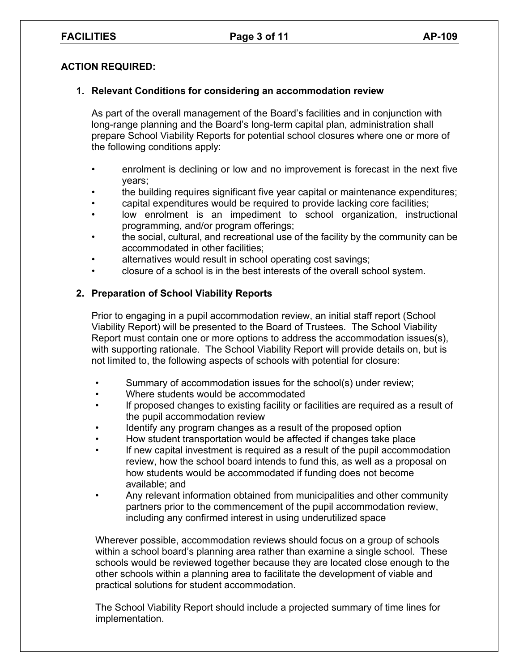## **ACTION REQUIRED:**

## **1. Relevant Conditions for considering an accommodation review**

As part of the overall management of the Board's facilities and in conjunction with long-range planning and the Board's long-term capital plan, administration shall prepare School Viability Reports for potential school closures where one or more of the following conditions apply:

- enrolment is declining or low and no improvement is forecast in the next five years;
- the building requires significant five year capital or maintenance expenditures;
- capital expenditures would be required to provide lacking core facilities;
- low enrolment is an impediment to school organization, instructional programming, and/or program offerings;
- the social, cultural, and recreational use of the facility by the community can be accommodated in other facilities;
- alternatives would result in school operating cost savings;
- closure of a school is in the best interests of the overall school system.

## **2. Preparation of School Viability Reports**

Prior to engaging in a pupil accommodation review, an initial staff report (School Viability Report) will be presented to the Board of Trustees. The School Viability Report must contain one or more options to address the accommodation issues(s), with supporting rationale. The School Viability Report will provide details on, but is not limited to, the following aspects of schools with potential for closure:

- Summary of accommodation issues for the school(s) under review;
- Where students would be accommodated
- If proposed changes to existing facility or facilities are required as a result of the pupil accommodation review
- Identify any program changes as a result of the proposed option
- How student transportation would be affected if changes take place
- If new capital investment is required as a result of the pupil accommodation review, how the school board intends to fund this, as well as a proposal on how students would be accommodated if funding does not become available; and
- Any relevant information obtained from municipalities and other community partners prior to the commencement of the pupil accommodation review, including any confirmed interest in using underutilized space

Wherever possible, accommodation reviews should focus on a group of schools within a school board's planning area rather than examine a single school. These schools would be reviewed together because they are located close enough to the other schools within a planning area to facilitate the development of viable and practical solutions for student accommodation.

The School Viability Report should include a projected summary of time lines for implementation.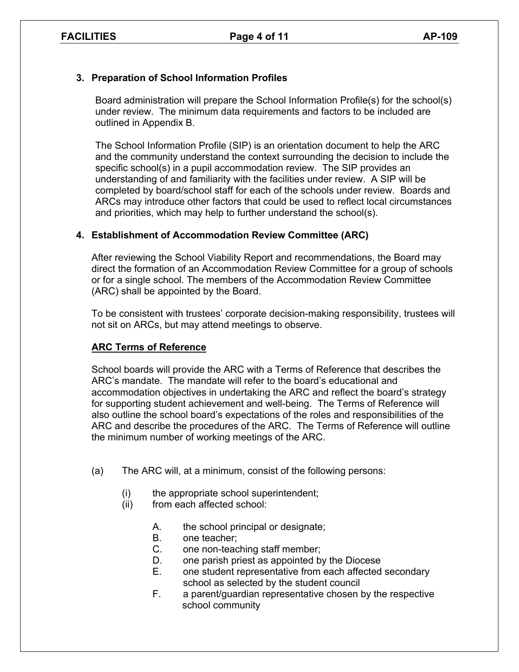# **3. Preparation of School Information Profiles**

Board administration will prepare the School Information Profile(s) for the school(s) under review. The minimum data requirements and factors to be included are outlined in Appendix B.

The School Information Profile (SIP) is an orientation document to help the ARC and the community understand the context surrounding the decision to include the specific school(s) in a pupil accommodation review. The SIP provides an understanding of and familiarity with the facilities under review. A SIP will be completed by board/school staff for each of the schools under review. Boards and ARCs may introduce other factors that could be used to reflect local circumstances and priorities, which may help to further understand the school(s).

# **4. Establishment of Accommodation Review Committee (ARC)**

After reviewing the School Viability Report and recommendations, the Board may direct the formation of an Accommodation Review Committee for a group of schools or for a single school. The members of the Accommodation Review Committee (ARC) shall be appointed by the Board.

To be consistent with trustees' corporate decision-making responsibility, trustees will not sit on ARCs, but may attend meetings to observe.

# **ARC Terms of Reference**

School boards will provide the ARC with a Terms of Reference that describes the ARC's mandate. The mandate will refer to the board's educational and accommodation objectives in undertaking the ARC and reflect the board's strategy for supporting student achievement and well-being. The Terms of Reference will also outline the school board's expectations of the roles and responsibilities of the ARC and describe the procedures of the ARC. The Terms of Reference will outline the minimum number of working meetings of the ARC.

- (a) The ARC will, at a minimum, consist of the following persons:
	- (i) the appropriate school superintendent;
	- (ii) from each affected school:
		- A. the school principal or designate;
		- B. one teacher;
		- C. one non-teaching staff member;
		- D. one parish priest as appointed by the Diocese
		- E. one student representative from each affected secondary school as selected by the student council
		- F. a parent/guardian representative chosen by the respective school community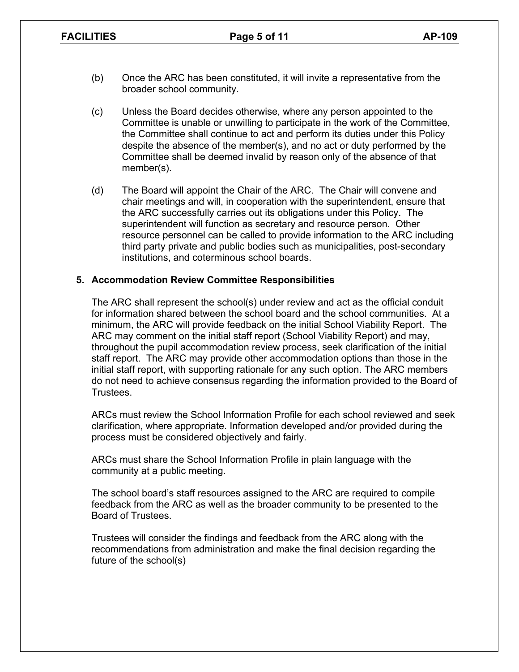- (b) Once the ARC has been constituted, it will invite a representative from the broader school community.
- (c) Unless the Board decides otherwise, where any person appointed to the Committee is unable or unwilling to participate in the work of the Committee, the Committee shall continue to act and perform its duties under this Policy despite the absence of the member(s), and no act or duty performed by the Committee shall be deemed invalid by reason only of the absence of that member(s).
- (d) The Board will appoint the Chair of the ARC. The Chair will convene and chair meetings and will, in cooperation with the superintendent, ensure that the ARC successfully carries out its obligations under this Policy. The superintendent will function as secretary and resource person. Other resource personnel can be called to provide information to the ARC including third party private and public bodies such as municipalities, post-secondary institutions, and coterminous school boards.

### **5. Accommodation Review Committee Responsibilities**

The ARC shall represent the school(s) under review and act as the official conduit for information shared between the school board and the school communities. At a minimum, the ARC will provide feedback on the initial School Viability Report. The ARC may comment on the initial staff report (School Viability Report) and may, throughout the pupil accommodation review process, seek clarification of the initial staff report. The ARC may provide other accommodation options than those in the initial staff report, with supporting rationale for any such option. The ARC members do not need to achieve consensus regarding the information provided to the Board of Trustees.

ARCs must review the School Information Profile for each school reviewed and seek clarification, where appropriate. Information developed and/or provided during the process must be considered objectively and fairly.

ARCs must share the School Information Profile in plain language with the community at a public meeting.

The school board's staff resources assigned to the ARC are required to compile feedback from the ARC as well as the broader community to be presented to the Board of Trustees.

Trustees will consider the findings and feedback from the ARC along with the recommendations from administration and make the final decision regarding the future of the school(s)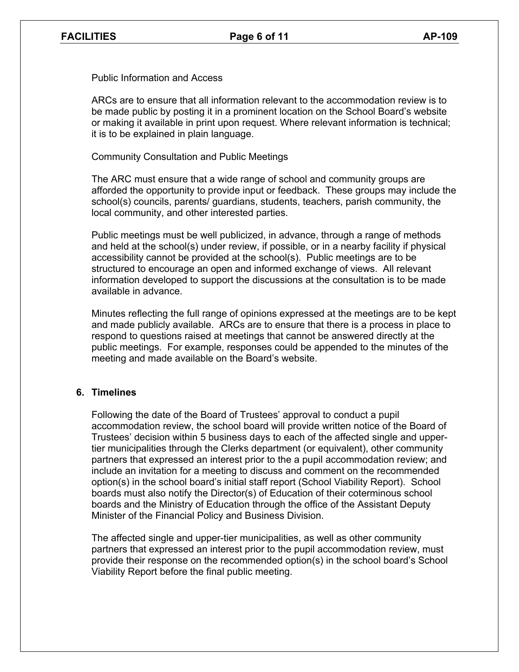Public Information and Access

ARCs are to ensure that all information relevant to the accommodation review is to be made public by posting it in a prominent location on the School Board's website or making it available in print upon request. Where relevant information is technical; it is to be explained in plain language.

Community Consultation and Public Meetings

The ARC must ensure that a wide range of school and community groups are afforded the opportunity to provide input or feedback. These groups may include the school(s) councils, parents/ guardians, students, teachers, parish community, the local community, and other interested parties.

Public meetings must be well publicized, in advance, through a range of methods and held at the school(s) under review, if possible, or in a nearby facility if physical accessibility cannot be provided at the school(s). Public meetings are to be structured to encourage an open and informed exchange of views. All relevant information developed to support the discussions at the consultation is to be made available in advance.

Minutes reflecting the full range of opinions expressed at the meetings are to be kept and made publicly available. ARCs are to ensure that there is a process in place to respond to questions raised at meetings that cannot be answered directly at the public meetings. For example, responses could be appended to the minutes of the meeting and made available on the Board's website.

## **6. Timelines**

Following the date of the Board of Trustees' approval to conduct a pupil accommodation review, the school board will provide written notice of the Board of Trustees' decision within 5 business days to each of the affected single and uppertier municipalities through the Clerks department (or equivalent), other community partners that expressed an interest prior to the a pupil accommodation review; and include an invitation for a meeting to discuss and comment on the recommended option(s) in the school board's initial staff report (School Viability Report). School boards must also notify the Director(s) of Education of their coterminous school boards and the Ministry of Education through the office of the Assistant Deputy Minister of the Financial Policy and Business Division.

The affected single and upper-tier municipalities, as well as other community partners that expressed an interest prior to the pupil accommodation review, must provide their response on the recommended option(s) in the school board's School Viability Report before the final public meeting.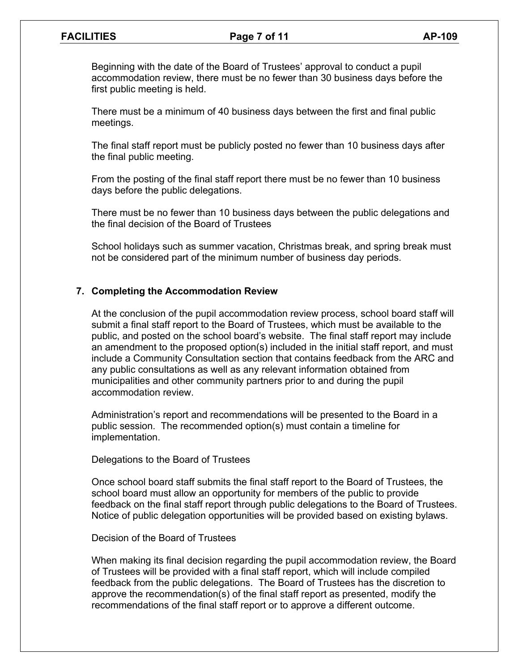Beginning with the date of the Board of Trustees' approval to conduct a pupil accommodation review, there must be no fewer than 30 business days before the first public meeting is held.

There must be a minimum of 40 business days between the first and final public meetings.

The final staff report must be publicly posted no fewer than 10 business days after the final public meeting.

From the posting of the final staff report there must be no fewer than 10 business days before the public delegations.

There must be no fewer than 10 business days between the public delegations and the final decision of the Board of Trustees

School holidays such as summer vacation, Christmas break, and spring break must not be considered part of the minimum number of business day periods.

### **7. Completing the Accommodation Review**

At the conclusion of the pupil accommodation review process, school board staff will submit a final staff report to the Board of Trustees, which must be available to the public, and posted on the school board's website. The final staff report may include an amendment to the proposed option(s) included in the initial staff report, and must include a Community Consultation section that contains feedback from the ARC and any public consultations as well as any relevant information obtained from municipalities and other community partners prior to and during the pupil accommodation review.

Administration's report and recommendations will be presented to the Board in a public session. The recommended option(s) must contain a timeline for implementation.

Delegations to the Board of Trustees

Once school board staff submits the final staff report to the Board of Trustees, the school board must allow an opportunity for members of the public to provide feedback on the final staff report through public delegations to the Board of Trustees. Notice of public delegation opportunities will be provided based on existing bylaws.

#### Decision of the Board of Trustees

When making its final decision regarding the pupil accommodation review, the Board of Trustees will be provided with a final staff report, which will include compiled feedback from the public delegations. The Board of Trustees has the discretion to approve the recommendation(s) of the final staff report as presented, modify the recommendations of the final staff report or to approve a different outcome.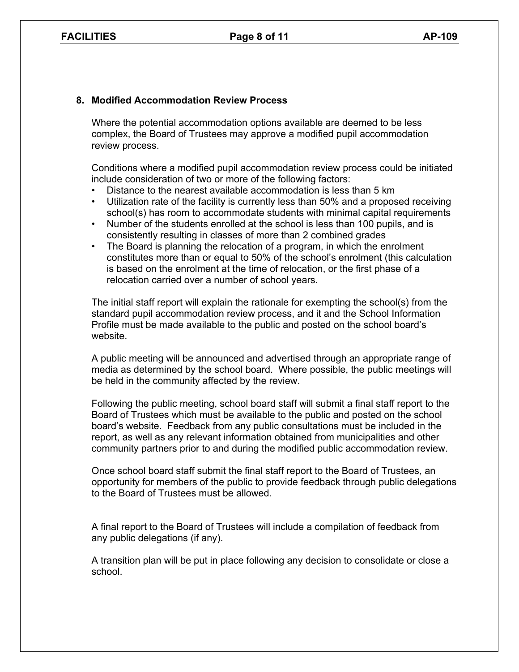## **8. Modified Accommodation Review Process**

Where the potential accommodation options available are deemed to be less complex, the Board of Trustees may approve a modified pupil accommodation review process.

Conditions where a modified pupil accommodation review process could be initiated include consideration of two or more of the following factors:

- Distance to the nearest available accommodation is less than 5 km
- Utilization rate of the facility is currently less than 50% and a proposed receiving school(s) has room to accommodate students with minimal capital requirements
- Number of the students enrolled at the school is less than 100 pupils, and is consistently resulting in classes of more than 2 combined grades
- The Board is planning the relocation of a program, in which the enrolment constitutes more than or equal to 50% of the school's enrolment (this calculation is based on the enrolment at the time of relocation, or the first phase of a relocation carried over a number of school years.

The initial staff report will explain the rationale for exempting the school(s) from the standard pupil accommodation review process, and it and the School Information Profile must be made available to the public and posted on the school board's website.

A public meeting will be announced and advertised through an appropriate range of media as determined by the school board. Where possible, the public meetings will be held in the community affected by the review.

Following the public meeting, school board staff will submit a final staff report to the Board of Trustees which must be available to the public and posted on the school board's website. Feedback from any public consultations must be included in the report, as well as any relevant information obtained from municipalities and other community partners prior to and during the modified public accommodation review.

Once school board staff submit the final staff report to the Board of Trustees, an opportunity for members of the public to provide feedback through public delegations to the Board of Trustees must be allowed.

A final report to the Board of Trustees will include a compilation of feedback from any public delegations (if any).

A transition plan will be put in place following any decision to consolidate or close a school.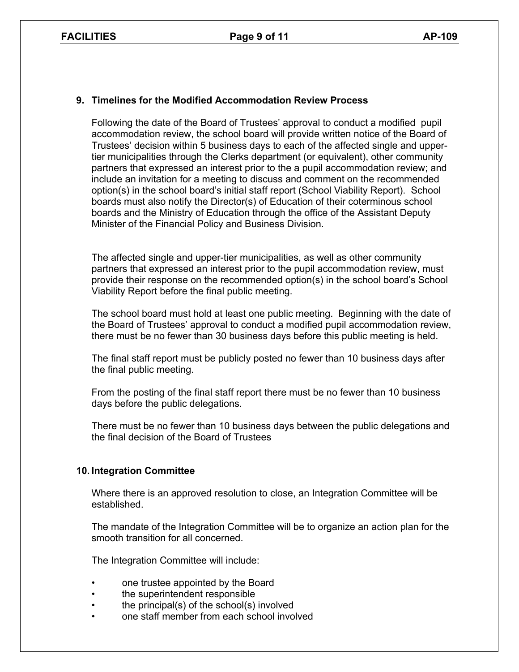## **9. Timelines for the Modified Accommodation Review Process**

Following the date of the Board of Trustees' approval to conduct a modified pupil accommodation review, the school board will provide written notice of the Board of Trustees' decision within 5 business days to each of the affected single and uppertier municipalities through the Clerks department (or equivalent), other community partners that expressed an interest prior to the a pupil accommodation review; and include an invitation for a meeting to discuss and comment on the recommended option(s) in the school board's initial staff report (School Viability Report). School boards must also notify the Director(s) of Education of their coterminous school boards and the Ministry of Education through the office of the Assistant Deputy Minister of the Financial Policy and Business Division.

The affected single and upper-tier municipalities, as well as other community partners that expressed an interest prior to the pupil accommodation review, must provide their response on the recommended option(s) in the school board's School Viability Report before the final public meeting.

The school board must hold at least one public meeting. Beginning with the date of the Board of Trustees' approval to conduct a modified pupil accommodation review, there must be no fewer than 30 business days before this public meeting is held.

The final staff report must be publicly posted no fewer than 10 business days after the final public meeting.

From the posting of the final staff report there must be no fewer than 10 business days before the public delegations.

There must be no fewer than 10 business days between the public delegations and the final decision of the Board of Trustees

#### **10. Integration Committee**

Where there is an approved resolution to close, an Integration Committee will be established.

The mandate of the Integration Committee will be to organize an action plan for the smooth transition for all concerned.

The Integration Committee will include:

- one trustee appointed by the Board
- the superintendent responsible
- the principal(s) of the school(s) involved
- one staff member from each school involved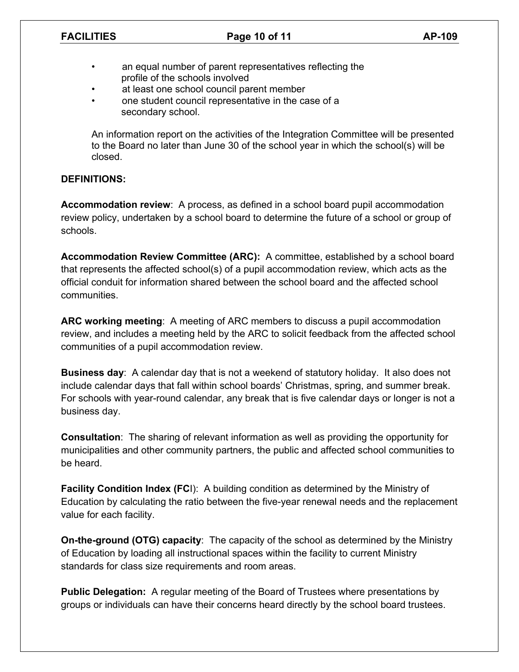- an equal number of parent representatives reflecting the profile of the schools involved
- at least one school council parent member
- one student council representative in the case of a secondary school.

An information report on the activities of the Integration Committee will be presented to the Board no later than June 30 of the school year in which the school(s) will be closed.

## **DEFINITIONS:**

**Accommodation review**: A process, as defined in a school board pupil accommodation review policy, undertaken by a school board to determine the future of a school or group of schools.

**Accommodation Review Committee (ARC):** A committee, established by a school board that represents the affected school(s) of a pupil accommodation review, which acts as the official conduit for information shared between the school board and the affected school communities.

**ARC working meeting**: A meeting of ARC members to discuss a pupil accommodation review, and includes a meeting held by the ARC to solicit feedback from the affected school communities of a pupil accommodation review.

**Business day**: A calendar day that is not a weekend of statutory holiday. It also does not include calendar days that fall within school boards' Christmas, spring, and summer break. For schools with year-round calendar, any break that is five calendar days or longer is not a business day.

**Consultation**: The sharing of relevant information as well as providing the opportunity for municipalities and other community partners, the public and affected school communities to be heard.

**Facility Condition Index (FCI):** A building condition as determined by the Ministry of Education by calculating the ratio between the five-year renewal needs and the replacement value for each facility.

**On-the-ground (OTG) capacity**: The capacity of the school as determined by the Ministry of Education by loading all instructional spaces within the facility to current Ministry standards for class size requirements and room areas.

**Public Delegation:** A regular meeting of the Board of Trustees where presentations by groups or individuals can have their concerns heard directly by the school board trustees.